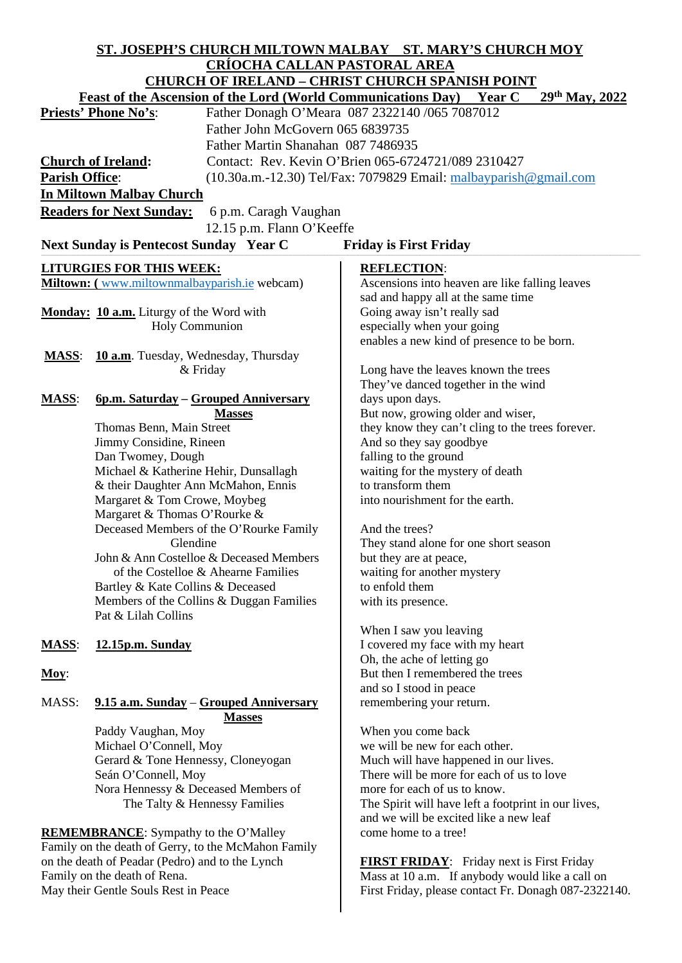| ST. JOSEPH'S CHURCH MILTOWN MALBAY ST. MARY'S CHURCH MOY                                               |                                                                      |                                                                      |
|--------------------------------------------------------------------------------------------------------|----------------------------------------------------------------------|----------------------------------------------------------------------|
| <b>CRÍOCHA CALLAN PASTORAL AREA</b>                                                                    |                                                                      |                                                                      |
| <b>CHURCH OF IRELAND - CHRIST CHURCH SPANISH POINT</b>                                                 |                                                                      |                                                                      |
|                                                                                                        | <b>Feast of the Ascension of the Lord (World Communications Day)</b> | 29th May, 2022<br><b>Year C</b>                                      |
| <b>Priests' Phone No's:</b>                                                                            |                                                                      | Father Donagh O'Meara 087 2322140 /065 7087012                       |
|                                                                                                        | Father John McGovern 065 6839735                                     |                                                                      |
|                                                                                                        | Father Martin Shanahan 087 7486935                                   |                                                                      |
| <b>Church of Ireland:</b>                                                                              |                                                                      | Contact: Rev. Kevin O'Brien 065-6724721/089 2310427                  |
| <b>Parish Office:</b>                                                                                  |                                                                      | $(10.30a.m.-12.30)$ Tel/Fax: 7079829 Email: $malbayparish@gmail.com$ |
| <b>In Miltown Malbay Church</b>                                                                        |                                                                      |                                                                      |
| <b>Readers for Next Sunday:</b><br>6 p.m. Caragh Vaughan                                               |                                                                      |                                                                      |
| 12.15 p.m. Flann O'Keeffe                                                                              |                                                                      |                                                                      |
|                                                                                                        |                                                                      |                                                                      |
| Next Sunday is Pentecost Sunday Year C<br><b>Friday is First Friday</b>                                |                                                                      |                                                                      |
|                                                                                                        | <b>LITURGIES FOR THIS WEEK:</b>                                      | <b>REFLECTION:</b>                                                   |
| Miltown: (www.miltownmalbayparish.ie webcam)                                                           |                                                                      | Ascensions into heaven are like falling leaves                       |
|                                                                                                        |                                                                      | sad and happy all at the same time                                   |
|                                                                                                        | Monday: 10 a.m. Liturgy of the Word with                             | Going away isn't really sad                                          |
|                                                                                                        | <b>Holy Communion</b>                                                | especially when your going                                           |
|                                                                                                        |                                                                      | enables a new kind of presence to be born.                           |
| <b>MASS:</b>                                                                                           | 10 a.m. Tuesday, Wednesday, Thursday                                 |                                                                      |
|                                                                                                        | & Friday                                                             | Long have the leaves known the trees                                 |
|                                                                                                        |                                                                      | They've danced together in the wind                                  |
| <b>MASS:</b>                                                                                           | 6p.m. Saturday - Grouped Anniversary<br><b>Masses</b>                | days upon days.<br>But now, growing older and wiser,                 |
|                                                                                                        | Thomas Benn, Main Street                                             | they know they can't cling to the trees forever.                     |
|                                                                                                        | Jimmy Considine, Rineen                                              | And so they say goodbye                                              |
|                                                                                                        | Dan Twomey, Dough                                                    | falling to the ground                                                |
|                                                                                                        | Michael & Katherine Hehir, Dunsallagh                                | waiting for the mystery of death                                     |
|                                                                                                        | & their Daughter Ann McMahon, Ennis                                  | to transform them                                                    |
|                                                                                                        | Margaret & Tom Crowe, Moybeg                                         | into nourishment for the earth.                                      |
|                                                                                                        | Margaret & Thomas O'Rourke &                                         |                                                                      |
|                                                                                                        | Deceased Members of the O'Rourke Family                              | And the trees?                                                       |
|                                                                                                        | Glendine                                                             | They stand alone for one short season                                |
|                                                                                                        | John & Ann Costelloe & Deceased Members                              | but they are at peace,                                               |
|                                                                                                        | of the Costelloe & Ahearne Families                                  | waiting for another mystery                                          |
|                                                                                                        | Bartley & Kate Collins & Deceased                                    | to enfold them                                                       |
|                                                                                                        | Members of the Collins & Duggan Families<br>Pat & Lilah Collins      | with its presence.                                                   |
|                                                                                                        |                                                                      | When I saw you leaving                                               |
| <b>MASS:</b>                                                                                           | 12.15p.m. Sunday                                                     | I covered my face with my heart                                      |
|                                                                                                        |                                                                      | Oh, the ache of letting go                                           |
| Moy:                                                                                                   |                                                                      | But then I remembered the trees                                      |
|                                                                                                        |                                                                      | and so I stood in peace                                              |
| MASS:                                                                                                  | 9.15 a.m. Sunday – Grouped Anniversary                               | remembering your return.                                             |
|                                                                                                        | <b>Masses</b>                                                        |                                                                      |
|                                                                                                        | Paddy Vaughan, Moy                                                   | When you come back                                                   |
|                                                                                                        | Michael O'Connell, Moy                                               | we will be new for each other.                                       |
|                                                                                                        | Gerard & Tone Hennessy, Cloneyogan                                   | Much will have happened in our lives.                                |
|                                                                                                        | Seán O'Connell, Moy                                                  | There will be more for each of us to love                            |
|                                                                                                        | Nora Hennessy & Deceased Members of                                  | more for each of us to know.                                         |
|                                                                                                        | The Talty & Hennessy Families                                        | The Spirit will have left a footprint in our lives,                  |
|                                                                                                        |                                                                      | and we will be excited like a new leaf                               |
| <b>REMEMBRANCE:</b> Sympathy to the O'Malley                                                           |                                                                      | come home to a tree!                                                 |
| Family on the death of Gerry, to the McMahon Family<br>on the death of Peadar (Pedro) and to the Lynch |                                                                      | <b>FIRST FRIDAY:</b> Friday next is First Friday                     |
| Family on the death of Rena.                                                                           |                                                                      | Mass at 10 a.m. If anybody would like a call on                      |
| May their Gentle Souls Rest in Peace                                                                   |                                                                      | First Friday, please contact Fr. Donagh 087-2322140.                 |
|                                                                                                        |                                                                      |                                                                      |